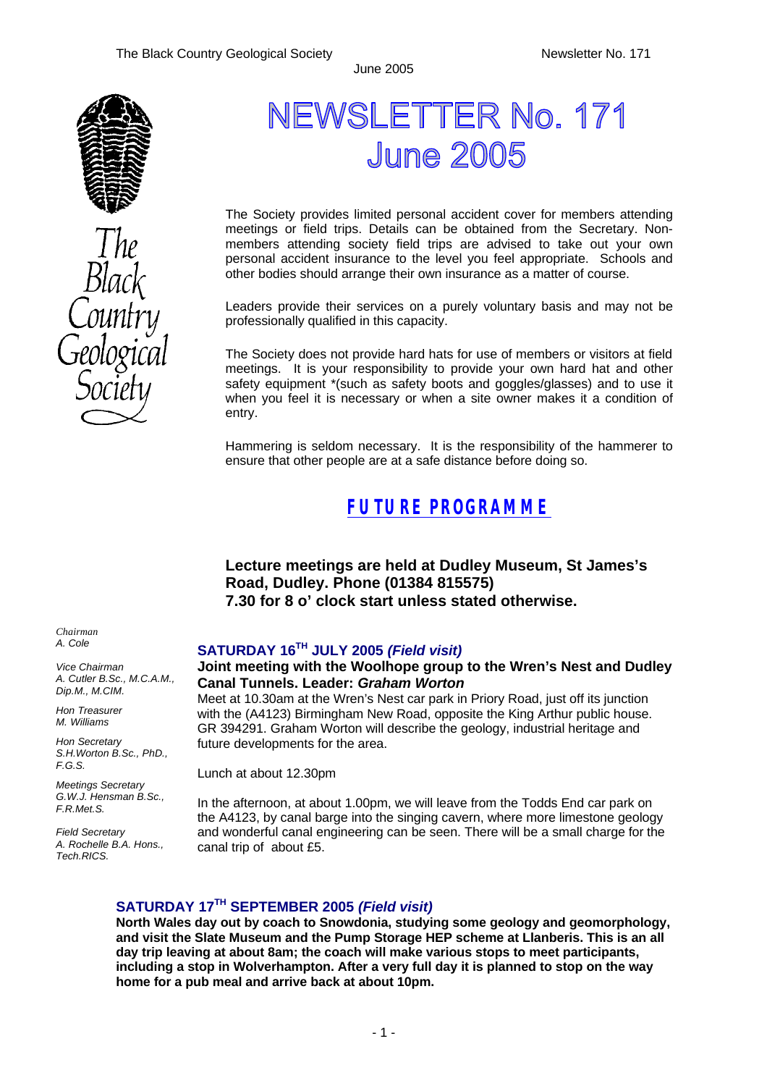

# **NEWSLETTER No. 171 June 2005**

The Society provides limited personal accident cover for members attending meetings or field trips. Details can be obtained from the Secretary. Nonmembers attending society field trips are advised to take out your own personal accident insurance to the level you feel appropriate. Schools and other bodies should arrange their own insurance as a matter of course.

Leaders provide their services on a purely voluntary basis and may not be professionally qualified in this capacity.

The Society does not provide hard hats for use of members or visitors at field meetings. It is your responsibility to provide your own hard hat and other safety equipment \*(such as safety boots and goggles/glasses) and to use it when you feel it is necessary or when a site owner makes it a condition of entry.

Hammering is seldom necessary. It is the responsibility of the hammerer to ensure that other people are at a safe distance before doing so.

### *FUTURE PROGRAMME*

**Lecture meetings are held at Dudley Museum, St James's Road, Dudley. Phone (01384 815575) 7.30 for 8 o' clock start unless stated otherwise.**

### **SATURDAY 16TH JULY 2005** *(Field visit)*

#### **Joint meeting with the Woolhope group to the Wren's Nest and Dudley Canal Tunnels. Leader:** *Graham Worton*

Meet at 10.30am at the Wren's Nest car park in Priory Road, just off its junction with the (A4123) Birmingham New Road, opposite the King Arthur public house. GR 394291. Graham Worton will describe the geology, industrial heritage and future developments for the area.

Lunch at about 12.30pm

In the afternoon, at about 1.00pm, we will leave from the Todds End car park on the A4123, by canal barge into the singing cavern, where more limestone geology and wonderful canal engineering can be seen. There will be a small charge for the canal trip of about £5.

#### **SATURDAY 17TH SEPTEMBER 2005** *(Field visit)*

**North Wales day out by coach to Snowdonia, studying some geology and geomorphology, and visit the Slate Museum and the Pump Storage HEP scheme at Llanberis. This is an all day trip leaving at about 8am; the coach will make various stops to meet participants, including a stop in Wolverhampton. After a very full day it is planned to stop on the way home for a pub meal and arrive back at about 10pm.**

*Chairman A. Cole*

*Vice Chairman A. Cutler B.Sc., M.C.A.M., Dip.M., M.CIM.*

*Hon Treasurer M. Williams* 

*Hon Secretary S.H.Worton B.Sc., PhD., F.G.S.*

*Meetings Secretary G.W.J. Hensman B.Sc., F.R.Met.S.*

*Field Secretary A. Rochelle B.A. Hons., Tech.RICS.*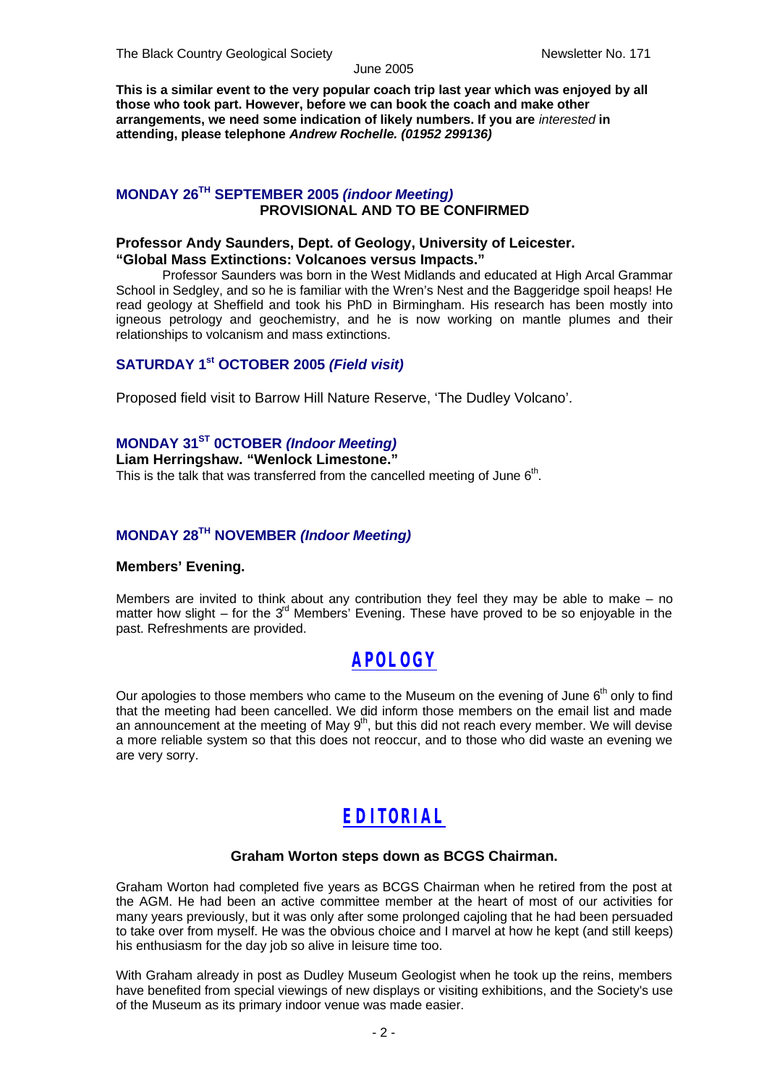**This is a similar event to the very popular coach trip last year which was enjoyed by all those who took part. However, before we can book the coach and make other arrangements, we need some indication of likely numbers. If you are** *interested* **in attending, please telephone** *Andrew Rochelle. (01952 299136)*

### **MONDAY 26TH SEPTEMBER 2005** *(indoor Meeting)* **PROVISIONAL AND TO BE CONFIRMED**

#### **Professor Andy Saunders, Dept. of Geology, University of Leicester. "Global Mass Extinctions: Volcanoes versus Impacts."**

Professor Saunders was born in the West Midlands and educated at High Arcal Grammar School in Sedgley, and so he is familiar with the Wren's Nest and the Baggeridge spoil heaps! He read geology at Sheffield and took his PhD in Birmingham. His research has been mostly into igneous petrology and geochemistry, and he is now working on mantle plumes and their relationships to volcanism and mass extinctions.

#### **SATURDAY 1st OCTOBER 2005** *(Field visit)*

Proposed field visit to Barrow Hill Nature Reserve, 'The Dudley Volcano'.

#### **MONDAY 31ST 0CTOBER** *(Indoor Meeting)*

**Liam Herringshaw. "Wenlock Limestone."** This is the talk that was transferred from the cancelled meeting of June  $6<sup>th</sup>$ .

### **MONDAY 28TH NOVEMBER** *(Indoor Meeting)*

#### **Members' Evening.**

Members are invited to think about any contribution they feel they may be able to make – no matter how slight – for the  $3<sup>rd</sup>$  Members' Evening. These have proved to be so enjoyable in the past. Refreshments are provided.

### *APOLOGY*

Our apologies to those members who came to the Museum on the evening of June 6<sup>th</sup> only to find that the meeting had been cancelled. We did inform those members on the email list and made an announcement at the meeting of May  $9<sup>th</sup>$ , but this did not reach every member. We will devise a more reliable system so that this does not reoccur, and to those who did waste an evening we are very sorry.

### *EDITORIAL*

#### **Graham Worton steps down as BCGS Chairman.**

Graham Worton had completed five years as BCGS Chairman when he retired from the post at the AGM. He had been an active committee member at the heart of most of our activities for many years previously, but it was only after some prolonged cajoling that he had been persuaded to take over from myself. He was the obvious choice and I marvel at how he kept (and still keeps) his enthusiasm for the day job so alive in leisure time too.

With Graham already in post as Dudley Museum Geologist when he took up the reins, members have benefited from special viewings of new displays or visiting exhibitions, and the Society's use of the Museum as its primary indoor venue was made easier.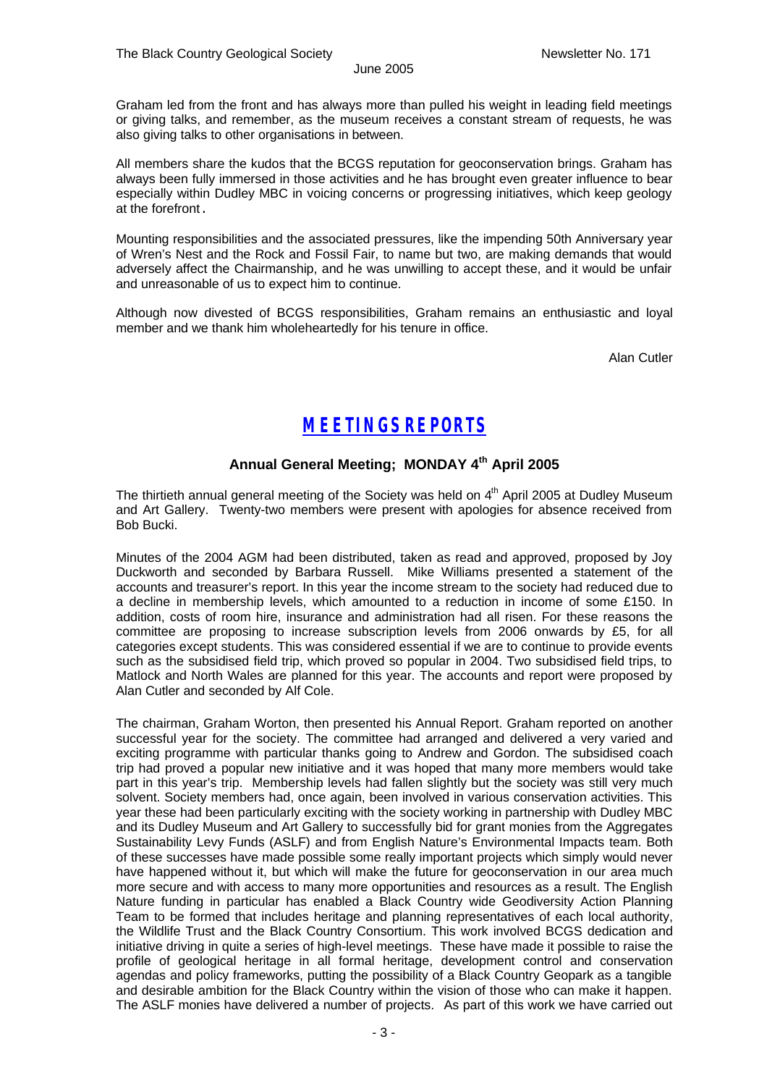Graham led from the front and has always more than pulled his weight in leading field meetings or giving talks, and remember, as the museum receives a constant stream of requests, he was also giving talks to other organisations in between.

All members share the kudos that the BCGS reputation for geoconservation brings. Graham has always been fully immersed in those activities and he has brought even greater influence to bear especially within Dudley MBC in voicing concerns or progressing initiatives, which keep geology at the forefront.

Mounting responsibilities and the associated pressures, like the impending 50th Anniversary year of Wren's Nest and the Rock and Fossil Fair, to name but two, are making demands that would adversely affect the Chairmanship, and he was unwilling to accept these, and it would be unfair and unreasonable of us to expect him to continue.

Although now divested of BCGS responsibilities, Graham remains an enthusiastic and loyal member and we thank him wholeheartedly for his tenure in office.

Alan Cutler

### *MEETINGS REPORTS*

#### **Annual General Meeting; MONDAY 4th April 2005**

The thirtieth annual general meeting of the Society was held on 4<sup>th</sup> April 2005 at Dudley Museum and Art Gallery. Twenty-two members were present with apologies for absence received from Bob Bucki.

Minutes of the 2004 AGM had been distributed, taken as read and approved, proposed by Joy Duckworth and seconded by Barbara Russell. Mike Williams presented a statement of the accounts and treasurer's report. In this year the income stream to the society had reduced due to a decline in membership levels, which amounted to a reduction in income of some £150. In addition, costs of room hire, insurance and administration had all risen. For these reasons the committee are proposing to increase subscription levels from 2006 onwards by £5, for all categories except students. This was considered essential if we are to continue to provide events such as the subsidised field trip, which proved so popular in 2004. Two subsidised field trips, to Matlock and North Wales are planned for this year. The accounts and report were proposed by Alan Cutler and seconded by Alf Cole.

The chairman, Graham Worton, then presented his Annual Report. Graham reported on another successful year for the society. The committee had arranged and delivered a very varied and exciting programme with particular thanks going to Andrew and Gordon. The subsidised coach trip had proved a popular new initiative and it was hoped that many more members would take part in this year's trip. Membership levels had fallen slightly but the society was still very much solvent. Society members had, once again, been involved in various conservation activities. This year these had been particularly exciting with the society working in partnership with Dudley MBC and its Dudley Museum and Art Gallery to successfully bid for grant monies from the Aggregates Sustainability Levy Funds (ASLF) and from English Nature's Environmental Impacts team. Both of these successes have made possible some really important projects which simply would never have happened without it, but which will make the future for geoconservation in our area much more secure and with access to many more opportunities and resources as a result. The English Nature funding in particular has enabled a Black Country wide Geodiversity Action Planning Team to be formed that includes heritage and planning representatives of each local authority, the Wildlife Trust and the Black Country Consortium. This work involved BCGS dedication and initiative driving in quite a series of high-level meetings. These have made it possible to raise the profile of geological heritage in all formal heritage, development control and conservation agendas and policy frameworks, putting the possibility of a Black Country Geopark as a tangible and desirable ambition for the Black Country within the vision of those who can make it happen. The ASLF monies have delivered a number of projects. As part of this work we have carried out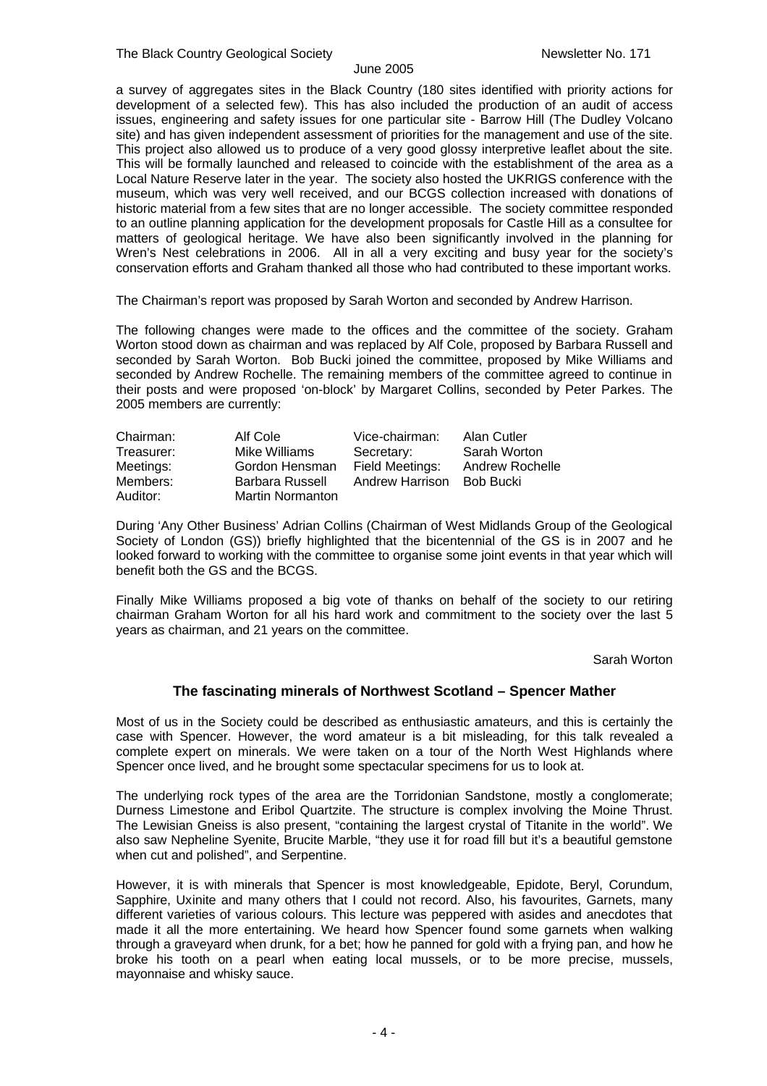a survey of aggregates sites in the Black Country (180 sites identified with priority actions for development of a selected few). This has also included the production of an audit of access issues, engineering and safety issues for one particular site - Barrow Hill (The Dudley Volcano site) and has given independent assessment of priorities for the management and use of the site. This project also allowed us to produce of a very good glossy interpretive leaflet about the site. This will be formally launched and released to coincide with the establishment of the area as a Local Nature Reserve later in the year. The society also hosted the UKRIGS conference with the museum, which was very well received, and our BCGS collection increased with donations of historic material from a few sites that are no longer accessible. The society committee responded to an outline planning application for the development proposals for Castle Hill as a consultee for matters of geological heritage. We have also been significantly involved in the planning for Wren's Nest celebrations in 2006. All in all a very exciting and busy year for the society's conservation efforts and Graham thanked all those who had contributed to these important works.

The Chairman's report was proposed by Sarah Worton and seconded by Andrew Harrison.

The following changes were made to the offices and the committee of the society. Graham Worton stood down as chairman and was replaced by Alf Cole, proposed by Barbara Russell and seconded by Sarah Worton. Bob Bucki joined the committee, proposed by Mike Williams and seconded by Andrew Rochelle. The remaining members of the committee agreed to continue in their posts and were proposed 'on-block' by Margaret Collins, seconded by Peter Parkes. The 2005 members are currently:

| Chairman:  | Alf Cole                | Vice-chairman:  | Alan Cutler     |
|------------|-------------------------|-----------------|-----------------|
| Treasurer: | Mike Williams           | Secretary:      | Sarah Worton    |
| Meetings:  | Gordon Hensman          | Field Meetings: | Andrew Rochelle |
| Members:   | Barbara Russell         | Andrew Harrison | Bob Bucki       |
| Auditor:   | <b>Martin Normanton</b> |                 |                 |

During 'Any Other Business' Adrian Collins (Chairman of West Midlands Group of the Geological Society of London (GS)) briefly highlighted that the bicentennial of the GS is in 2007 and he looked forward to working with the committee to organise some joint events in that year which will benefit both the GS and the BCGS.

Finally Mike Williams proposed a big vote of thanks on behalf of the society to our retiring chairman Graham Worton for all his hard work and commitment to the society over the last 5 years as chairman, and 21 years on the committee.

Sarah Worton

#### **The fascinating minerals of Northwest Scotland – Spencer Mather**

Most of us in the Society could be described as enthusiastic amateurs, and this is certainly the case with Spencer. However, the word amateur is a bit misleading, for this talk revealed a complete expert on minerals. We were taken on a tour of the North West Highlands where Spencer once lived, and he brought some spectacular specimens for us to look at.

The underlying rock types of the area are the Torridonian Sandstone, mostly a conglomerate; Durness Limestone and Eribol Quartzite. The structure is complex involving the Moine Thrust. The Lewisian Gneiss is also present, "containing the largest crystal of Titanite in the world". We also saw Nepheline Syenite, Brucite Marble, "they use it for road fill but it's a beautiful gemstone when cut and polished", and Serpentine.

However, it is with minerals that Spencer is most knowledgeable, Epidote, Beryl, Corundum, Sapphire, Uxinite and many others that I could not record. Also, his favourites, Garnets, many different varieties of various colours. This lecture was peppered with asides and anecdotes that made it all the more entertaining. We heard how Spencer found some garnets when walking through a graveyard when drunk, for a bet; how he panned for gold with a frying pan, and how he broke his tooth on a pearl when eating local mussels, or to be more precise, mussels, mayonnaise and whisky sauce.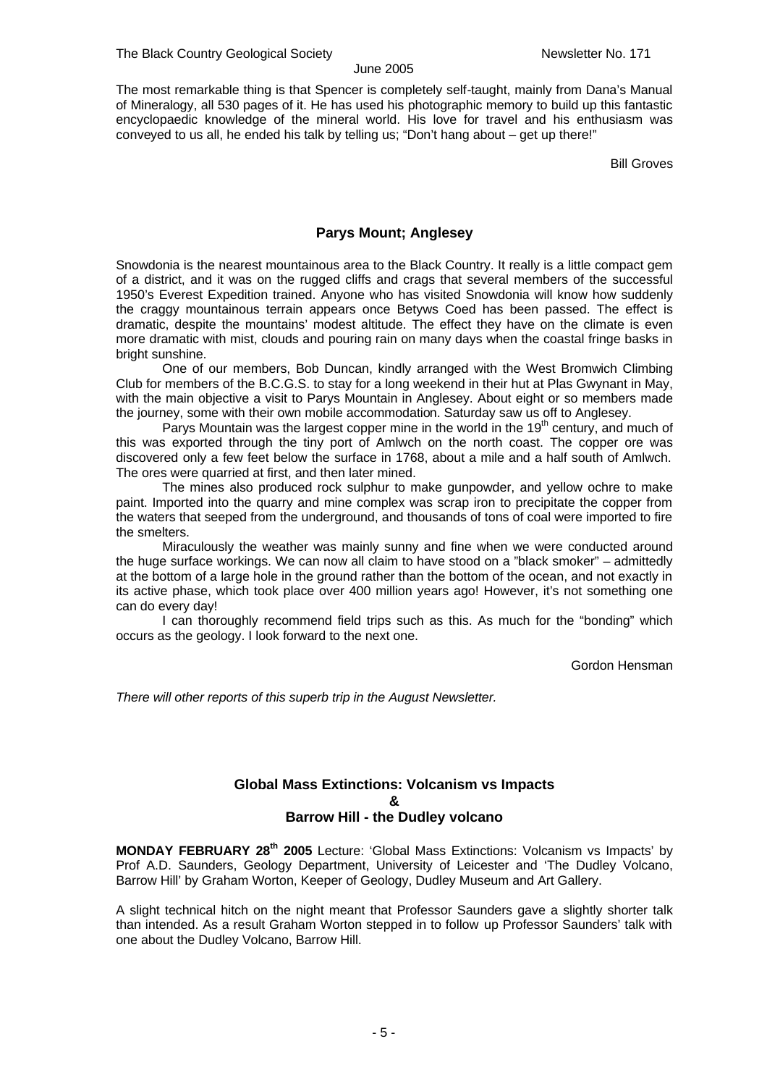The most remarkable thing is that Spencer is completely self-taught, mainly from Dana's Manual of Mineralogy, all 530 pages of it. He has used his photographic memory to build up this fantastic encyclopaedic knowledge of the mineral world. His love for travel and his enthusiasm was conveyed to us all, he ended his talk by telling us; "Don't hang about – get up there!"

Bill Groves

#### **Parys Mount; Anglesey**

Snowdonia is the nearest mountainous area to the Black Country. It really is a little compact gem of a district, and it was on the rugged cliffs and crags that several members of the successful 1950's Everest Expedition trained. Anyone who has visited Snowdonia will know how suddenly the craggy mountainous terrain appears once Betyws Coed has been passed. The effect is dramatic, despite the mountains' modest altitude. The effect they have on the climate is even more dramatic with mist, clouds and pouring rain on many days when the coastal fringe basks in bright sunshine.

One of our members, Bob Duncan, kindly arranged with the West Bromwich Climbing Club for members of the B.C.G.S. to stay for a long weekend in their hut at Plas Gwynant in May, with the main objective a visit to Parys Mountain in Anglesey. About eight or so members made the journey, some with their own mobile accommodation. Saturday saw us off to Anglesey.

Parys Mountain was the largest copper mine in the world in the  $19<sup>th</sup>$  century, and much of this was exported through the tiny port of Amlwch on the north coast. The copper ore was discovered only a few feet below the surface in 1768, about a mile and a half south of Amlwch. The ores were quarried at first, and then later mined.

The mines also produced rock sulphur to make gunpowder, and yellow ochre to make paint. Imported into the quarry and mine complex was scrap iron to precipitate the copper from the waters that seeped from the underground, and thousands of tons of coal were imported to fire the smelters.

Miraculously the weather was mainly sunny and fine when we were conducted around the huge surface workings. We can now all claim to have stood on a "black smoker" – admittedly at the bottom of a large hole in the ground rather than the bottom of the ocean, and not exactly in its active phase, which took place over 400 million years ago! However, it's not something one can do every day!

I can thoroughly recommend field trips such as this. As much for the "bonding" which occurs as the geology. I look forward to the next one.

Gordon Hensman

*There will other reports of this superb trip in the August Newsletter.*

#### **Global Mass Extinctions: Volcanism vs Impacts & Barrow Hill - the Dudley volcano**

**MONDAY FEBRUARY 28th 2005** Lecture: 'Global Mass Extinctions: Volcanism vs Impacts' by Prof A.D. Saunders, Geology Department, University of Leicester and 'The Dudley Volcano, Barrow Hill' by Graham Worton, Keeper of Geology, Dudley Museum and Art Gallery.

A slight technical hitch on the night meant that Professor Saunders gave a slightly shorter talk than intended. As a result Graham Worton stepped in to follow up Professor Saunders' talk with one about the Dudley Volcano, Barrow Hill.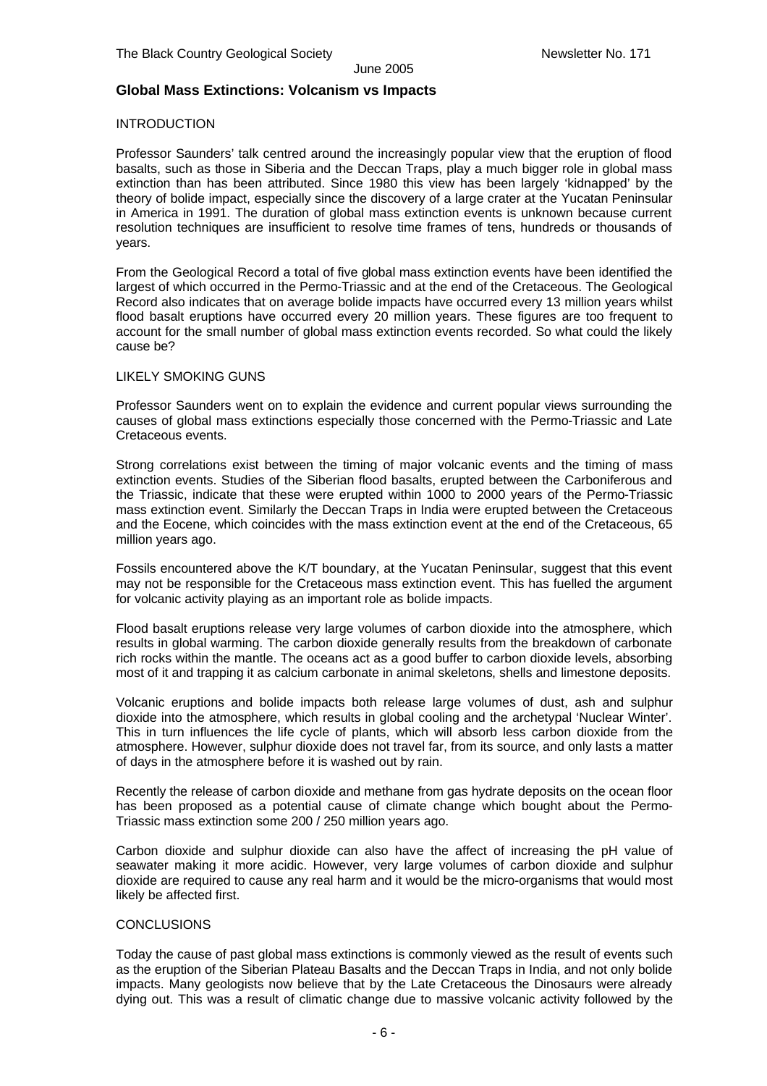#### **Global Mass Extinctions: Volcanism vs Impacts**

#### INTRODUCTION

Professor Saunders' talk centred around the increasingly popular view that the eruption of flood basalts, such as those in Siberia and the Deccan Traps, play a much bigger role in global mass extinction than has been attributed. Since 1980 this view has been largely 'kidnapped' by the theory of bolide impact, especially since the discovery of a large crater at the Yucatan Peninsular in America in 1991. The duration of global mass extinction events is unknown because current resolution techniques are insufficient to resolve time frames of tens, hundreds or thousands of years.

From the Geological Record a total of five global mass extinction events have been identified the largest of which occurred in the Permo-Triassic and at the end of the Cretaceous. The Geological Record also indicates that on average bolide impacts have occurred every 13 million years whilst flood basalt eruptions have occurred every 20 million years. These figures are too frequent to account for the small number of global mass extinction events recorded. So what could the likely cause be?

#### LIKELY SMOKING GUNS

Professor Saunders went on to explain the evidence and current popular views surrounding the causes of global mass extinctions especially those concerned with the Permo-Triassic and Late Cretaceous events.

Strong correlations exist between the timing of major volcanic events and the timing of mass extinction events. Studies of the Siberian flood basalts, erupted between the Carboniferous and the Triassic, indicate that these were erupted within 1000 to 2000 years of the Permo-Triassic mass extinction event. Similarly the Deccan Traps in India were erupted between the Cretaceous and the Eocene, which coincides with the mass extinction event at the end of the Cretaceous, 65 million years ago.

Fossils encountered above the K/T boundary, at the Yucatan Peninsular, suggest that this event may not be responsible for the Cretaceous mass extinction event. This has fuelled the argument for volcanic activity playing as an important role as bolide impacts.

Flood basalt eruptions release very large volumes of carbon dioxide into the atmosphere, which results in global warming. The carbon dioxide generally results from the breakdown of carbonate rich rocks within the mantle. The oceans act as a good buffer to carbon dioxide levels, absorbing most of it and trapping it as calcium carbonate in animal skeletons, shells and limestone deposits.

Volcanic eruptions and bolide impacts both release large volumes of dust, ash and sulphur dioxide into the atmosphere, which results in global cooling and the archetypal 'Nuclear Winter'. This in turn influences the life cycle of plants, which will absorb less carbon dioxide from the atmosphere. However, sulphur dioxide does not travel far, from its source, and only lasts a matter of days in the atmosphere before it is washed out by rain.

Recently the release of carbon dioxide and methane from gas hydrate deposits on the ocean floor has been proposed as a potential cause of climate change which bought about the Permo-Triassic mass extinction some 200 / 250 million years ago.

Carbon dioxide and sulphur dioxide can also have the affect of increasing the pH value of seawater making it more acidic. However, very large volumes of carbon dioxide and sulphur dioxide are required to cause any real harm and it would be the micro-organisms that would most likely be affected first.

#### **CONCLUSIONS**

Today the cause of past global mass extinctions is commonly viewed as the result of events such as the eruption of the Siberian Plateau Basalts and the Deccan Traps in India, and not only bolide impacts. Many geologists now believe that by the Late Cretaceous the Dinosaurs were already dying out. This was a result of climatic change due to massive volcanic activity followed by the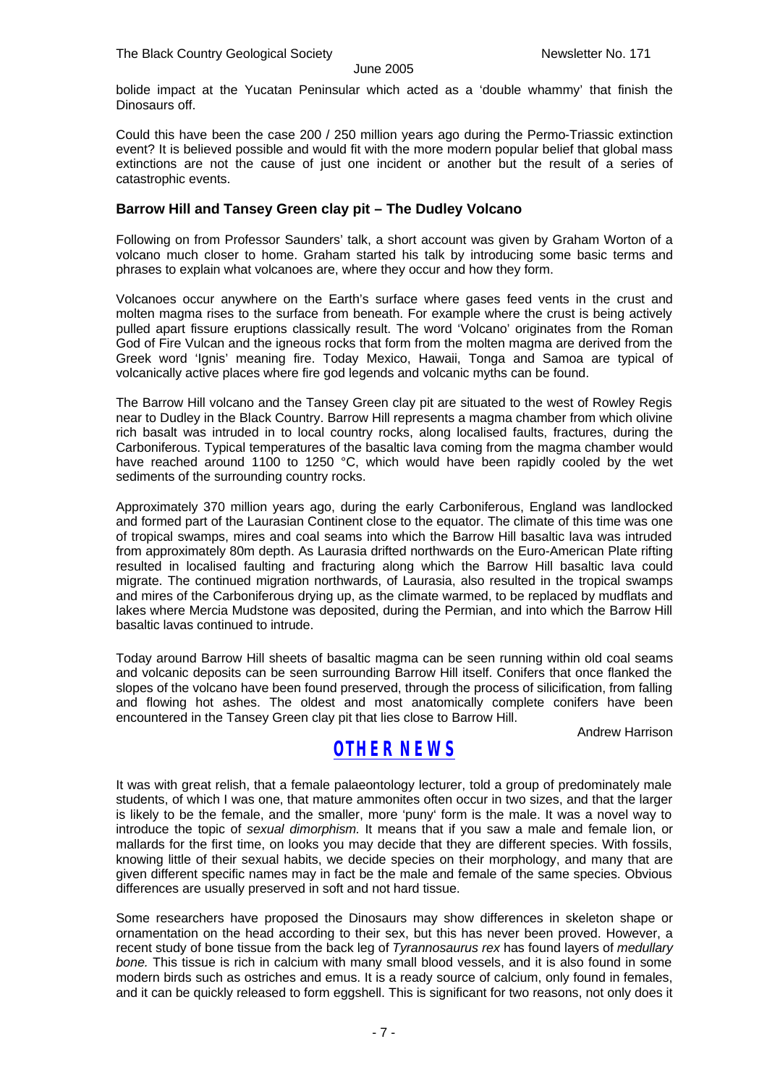bolide impact at the Yucatan Peninsular which acted as a 'double whammy' that finish the Dinosaurs off.

Could this have been the case 200 / 250 million years ago during the Permo-Triassic extinction event? It is believed possible and would fit with the more modern popular belief that global mass extinctions are not the cause of just one incident or another but the result of a series of catastrophic events.

#### **Barrow Hill and Tansey Green clay pit – The Dudley Volcano**

Following on from Professor Saunders' talk, a short account was given by Graham Worton of a volcano much closer to home. Graham started his talk by introducing some basic terms and phrases to explain what volcanoes are, where they occur and how they form.

Volcanoes occur anywhere on the Earth's surface where gases feed vents in the crust and molten magma rises to the surface from beneath. For example where the crust is being actively pulled apart fissure eruptions classically result. The word 'Volcano' originates from the Roman God of Fire Vulcan and the igneous rocks that form from the molten magma are derived from the Greek word 'Ignis' meaning fire. Today Mexico, Hawaii, Tonga and Samoa are typical of volcanically active places where fire god legends and volcanic myths can be found.

The Barrow Hill volcano and the Tansey Green clay pit are situated to the west of Rowley Regis near to Dudley in the Black Country. Barrow Hill represents a magma chamber from which olivine rich basalt was intruded in to local country rocks, along localised faults, fractures, during the Carboniferous. Typical temperatures of the basaltic lava coming from the magma chamber would have reached around 1100 to 1250 °C, which would have been rapidly cooled by the wet sediments of the surrounding country rocks.

Approximately 370 million years ago, during the early Carboniferous, England was landlocked and formed part of the Laurasian Continent close to the equator. The climate of this time was one of tropical swamps, mires and coal seams into which the Barrow Hill basaltic lava was intruded from approximately 80m depth. As Laurasia drifted northwards on the Euro-American Plate rifting resulted in localised faulting and fracturing along which the Barrow Hill basaltic lava could migrate. The continued migration northwards, of Laurasia, also resulted in the tropical swamps and mires of the Carboniferous drying up, as the climate warmed, to be replaced by mudflats and lakes where Mercia Mudstone was deposited, during the Permian, and into which the Barrow Hill basaltic lavas continued to intrude.

Today around Barrow Hill sheets of basaltic magma can be seen running within old coal seams and volcanic deposits can be seen surrounding Barrow Hill itself. Conifers that once flanked the slopes of the volcano have been found preserved, through the process of silicification, from falling and flowing hot ashes. The oldest and most anatomically complete conifers have been encountered in the Tansey Green clay pit that lies close to Barrow Hill.

Andrew Harrison

### *OTHER NEWS*

It was with great relish, that a female palaeontology lecturer, told a group of predominately male students, of which I was one, that mature ammonites often occur in two sizes, and that the larger is likely to be the female, and the smaller, more 'puny' form is the male. It was a novel way to introduce the topic of *sexual dimorphism.* It means that if you saw a male and female lion, or mallards for the first time, on looks you may decide that they are different species. With fossils, knowing little of their sexual habits, we decide species on their morphology, and many that are given different specific names may in fact be the male and female of the same species. Obvious differences are usually preserved in soft and not hard tissue.

Some researchers have proposed the Dinosaurs may show differences in skeleton shape or ornamentation on the head according to their sex, but this has never been proved. However, a recent study of bone tissue from the back leg of *Tyrannosaurus rex* has found layers of *medullary bone.* This tissue is rich in calcium with many small blood vessels, and it is also found in some modern birds such as ostriches and emus. It is a ready source of calcium, only found in females, and it can be quickly released to form eggshell. This is significant for two reasons, not only does it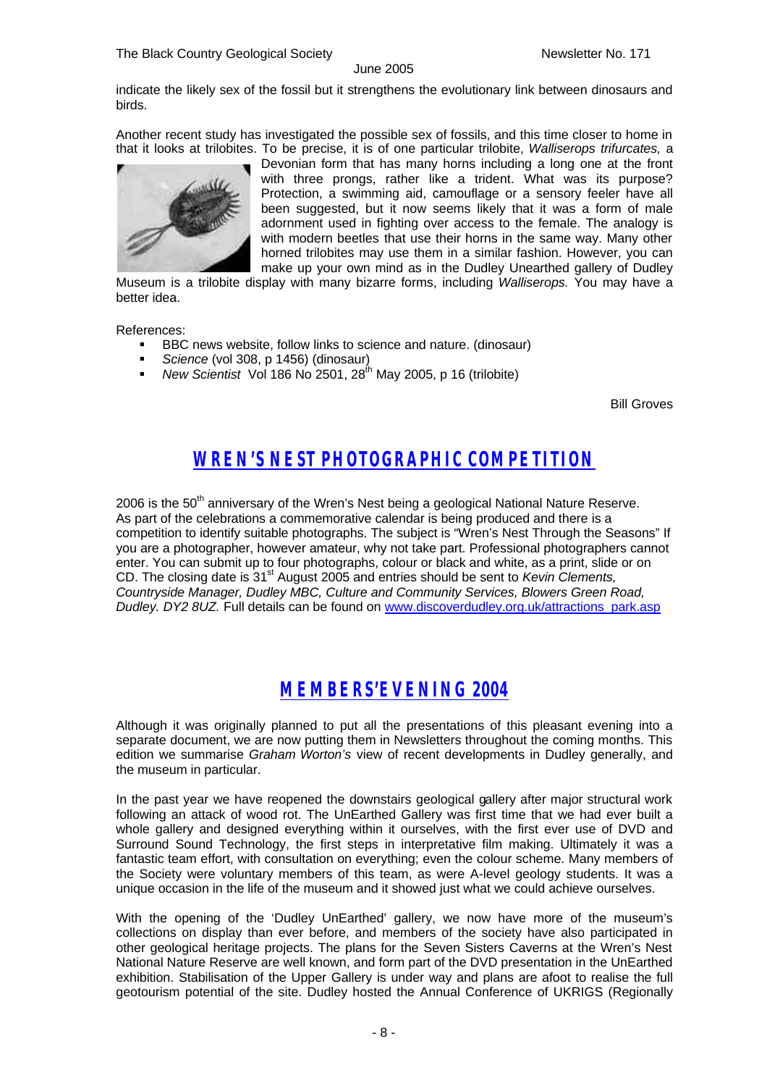indicate the likely sex of the fossil but it strengthens the evolutionary link between dinosaurs and birds.

Another recent study has investigated the possible sex of fossils, and this time closer to home in that it looks at trilobites. To be precise, it is of one particular trilobite, *Walliserops trifurcates,* a



Devonian form that has many horns including a long one at the front with three prongs, rather like a trident. What was its purpose? Protection, a swimming aid, camouflage or a sensory feeler have all been suggested, but it now seems likely that it was a form of male adornment used in fighting over access to the female. The analogy is with modern beetles that use their horns in the same way. Many other horned trilobites may use them in a similar fashion. However, you can make up your own mind as in the Dudley Unearthed gallery of Dudley

Museum is a trilobite display with many bizarre forms, including *Walliserops.* You may have a better idea.

References:

- ß BBC news website, follow links to science and nature. (dinosaur)
- ß *Science* (vol 308, p 1456) (dinosaur)
- ß *New Scientist* Vol 186 No 2501, 28th May 2005, p 16 (trilobite)

Bill Groves

### *WREN'S NEST PHOTOGRAPHIC COMPETITION*

2006 is the 50<sup>th</sup> anniversary of the Wren's Nest being a geological National Nature Reserve. As part of the celebrations a commemorative calendar is being produced and there is a competition to identify suitable photographs. The subject is "Wren's Nest Through the Seasons" If you are a photographer, however amateur, why not take part. Professional photographers cannot enter. You can submit up to four photographs, colour or black and white, as a print, slide or on CD. The closing date is 31st August 2005 and entries should be sent to *Kevin Clements, Countryside Manager, Dudley MBC, Culture and Community Services, Blowers Green Road, Dudley. DY2 8UZ.* Full details can be found on www.discoverdudley.org.uk/attractions\_park.asp

### *MEMBERS'EVENING 2004*

Although it was originally planned to put all the presentations of this pleasant evening into a separate document, we are now putting them in Newsletters throughout the coming months. This edition we summarise *Graham Worton's* view of recent developments in Dudley generally, and the museum in particular.

In the past year we have reopened the downstairs geological gallery after major structural work following an attack of wood rot. The UnEarthed Gallery was first time that we had ever built a whole gallery and designed everything within it ourselves, with the first ever use of DVD and Surround Sound Technology, the first steps in interpretative film making. Ultimately it was a fantastic team effort, with consultation on everything; even the colour scheme. Many members of the Society were voluntary members of this team, as were A-level geology students. It was a unique occasion in the life of the museum and it showed just what we could achieve ourselves.

With the opening of the 'Dudley UnEarthed' gallery, we now have more of the museum's collections on display than ever before, and members of the society have also participated in other geological heritage projects. The plans for the Seven Sisters Caverns at the Wren's Nest National Nature Reserve are well known, and form part of the DVD presentation in the UnEarthed exhibition. Stabilisation of the Upper Gallery is under way and plans are afoot to realise the full geotourism potential of the site. Dudley hosted the Annual Conference of UKRIGS (Regionally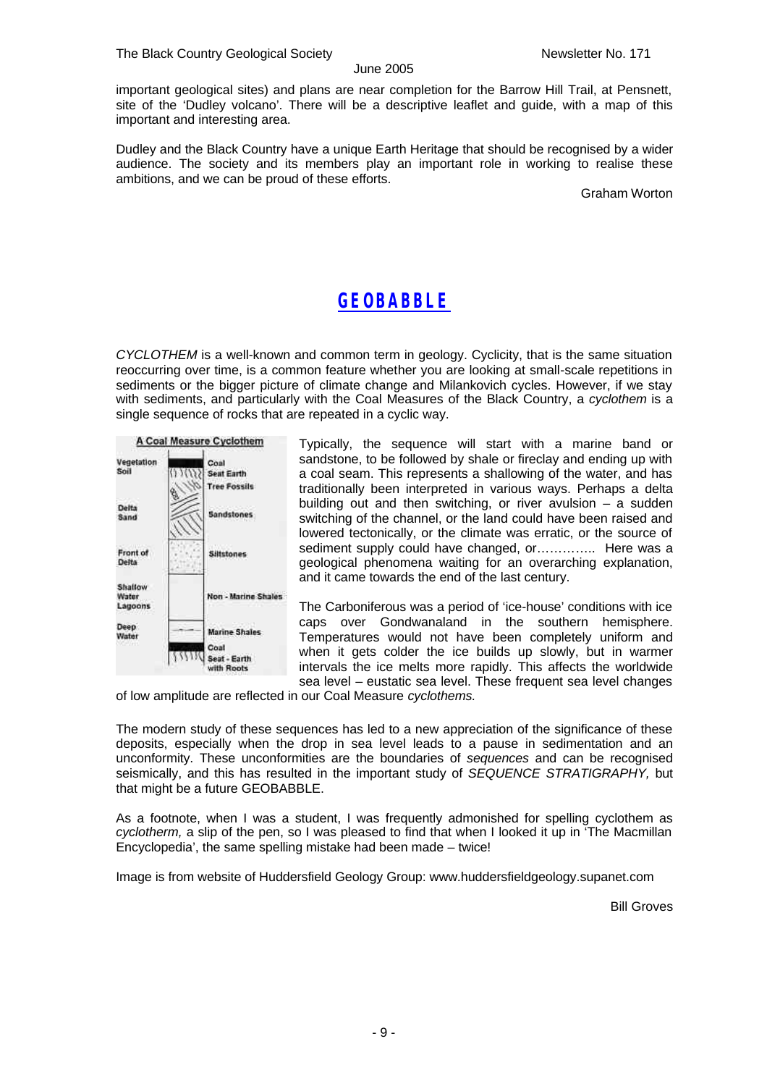important geological sites) and plans are near completion for the Barrow Hill Trail, at Pensnett, site of the 'Dudley volcano'. There will be a descriptive leaflet and guide, with a map of this important and interesting area.

Dudley and the Black Country have a unique Earth Heritage that should be recognised by a wider audience. The society and its members play an important role in working to realise these ambitions, and we can be proud of these efforts.

Graham Worton

### *GEOBABBLE*

*CYCLOTHEM* is a well-known and common term in geology. Cyclicity, that is the same situation reoccurring over time, is a common feature whether you are looking at small-scale repetitions in sediments or the bigger picture of climate change and Milankovich cycles. However, if we stay with sediments, and particularly with the Coal Measures of the Black Country, a *cyclothem* is a single sequence of rocks that are repeated in a cyclic way.



Typically, the sequence will start with a marine band or sandstone, to be followed by shale or fireclay and ending up with a coal seam. This represents a shallowing of the water, and has traditionally been interpreted in various ways. Perhaps a delta building out and then switching, or river avulsion – a sudden switching of the channel, or the land could have been raised and lowered tectonically, or the climate was erratic, or the source of sediment supply could have changed, or…………... Here was a geological phenomena waiting for an overarching explanation, and it came towards the end of the last century.

The Carboniferous was a period of 'ice-house' conditions with ice caps over Gondwanaland in the southern hemisphere. Temperatures would not have been completely uniform and when it gets colder the ice builds up slowly, but in warmer intervals the ice melts more rapidly. This affects the worldwide sea level – eustatic sea level. These frequent sea level changes

of low amplitude are reflected in our Coal Measure *cyclothems.*

The modern study of these sequences has led to a new appreciation of the significance of these deposits, especially when the drop in sea level leads to a pause in sedimentation and an unconformity. These unconformities are the boundaries of *sequences* and can be recognised seismically, and this has resulted in the important study of *SEQUENCE STRATIGRAPHY,* but that might be a future GEOBABBLE.

As a footnote, when I was a student, I was frequently admonished for spelling cyclothem as *cyclotherm,* a slip of the pen, so I was pleased to find that when I looked it up in 'The Macmillan Encyclopedia', the same spelling mistake had been made – twice!

Image is from website of Huddersfield Geology Group: www.huddersfieldgeology.supanet.com

Bill Groves